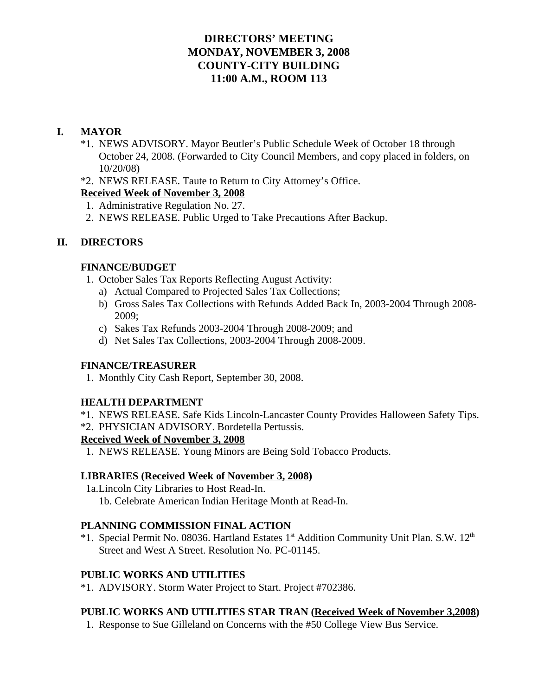# **DIRECTORS' MEETING MONDAY, NOVEMBER 3, 2008 COUNTY-CITY BUILDING 11:00 A.M., ROOM 113**

# **I. MAYOR**

- \*1. NEWS ADVISORY. Mayor Beutler's Public Schedule Week of October 18 through October 24, 2008. (Forwarded to City Council Members, and copy placed in folders, on 10/20/08)
- \*2. NEWS RELEASE. Taute to Return to City Attorney's Office.

# **Received Week of November 3, 2008**

- 1. Administrative Regulation No. 27.
- 2. NEWS RELEASE. Public Urged to Take Precautions After Backup.

# **II. DIRECTORS**

# **FINANCE/BUDGET**

- 1. October Sales Tax Reports Reflecting August Activity:
	- a) Actual Compared to Projected Sales Tax Collections;
	- b) Gross Sales Tax Collections with Refunds Added Back In, 2003-2004 Through 2008- 2009;
	- c) Sakes Tax Refunds 2003-2004 Through 2008-2009; and
	- d) Net Sales Tax Collections, 2003-2004 Through 2008-2009.

# **FINANCE/TREASURER**

1. Monthly City Cash Report, September 30, 2008.

# **HEALTH DEPARTMENT**

- \*1. NEWS RELEASE. Safe Kids Lincoln-Lancaster County Provides Halloween Safety Tips.
- \*2. PHYSICIAN ADVISORY. Bordetella Pertussis.

# **Received Week of November 3, 2008**

1. NEWS RELEASE. Young Minors are Being Sold Tobacco Products.

# **LIBRARIES (Received Week of November 3, 2008)**

1a.Lincoln City Libraries to Host Read-In. 1b. Celebrate American Indian Heritage Month at Read-In.

# **PLANNING COMMISSION FINAL ACTION**

\*1. Special Permit No. 08036. Hartland Estates 1<sup>st</sup> Addition Community Unit Plan. S.W. 12<sup>th</sup> Street and West A Street. Resolution No. PC-01145.

# **PUBLIC WORKS AND UTILITIES**

\*1. ADVISORY. Storm Water Project to Start. Project #702386.

# **PUBLIC WORKS AND UTILITIES STAR TRAN (Received Week of November 3,2008)**

1. Response to Sue Gilleland on Concerns with the #50 College View Bus Service.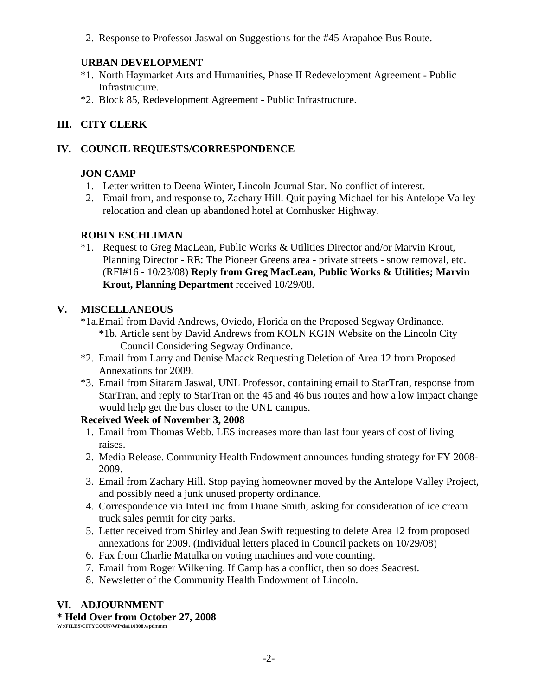2. Response to Professor Jaswal on Suggestions for the #45 Arapahoe Bus Route.

# **URBAN DEVELOPMENT**

- \*1. North Haymarket Arts and Humanities, Phase II Redevelopment Agreement Public Infrastructure.
- \*2. Block 85, Redevelopment Agreement Public Infrastructure.

# **III. CITY CLERK**

# **IV. COUNCIL REQUESTS/CORRESPONDENCE**

# **JON CAMP**

- 1. Letter written to Deena Winter, Lincoln Journal Star. No conflict of interest.
- 2. Email from, and response to, Zachary Hill. Quit paying Michael for his Antelope Valley relocation and clean up abandoned hotel at Cornhusker Highway.

# **ROBIN ESCHLIMAN**

\*1. Request to Greg MacLean, Public Works & Utilities Director and/or Marvin Krout, Planning Director - RE: The Pioneer Greens area - private streets - snow removal, etc. (RFI#16 - 10/23/08) **Reply from Greg MacLean, Public Works & Utilities; Marvin Krout, Planning Department** received 10/29/08.

# **V. MISCELLANEOUS**

- \*1a.Email from David Andrews, Oviedo, Florida on the Proposed Segway Ordinance.
	- \*1b. Article sent by David Andrews from KOLN KGIN Website on the Lincoln City Council Considering Segway Ordinance.
- \*2. Email from Larry and Denise Maack Requesting Deletion of Area 12 from Proposed Annexations for 2009.
- \*3. Email from Sitaram Jaswal, UNL Professor, containing email to StarTran, response from StarTran, and reply to StarTran on the 45 and 46 bus routes and how a low impact change would help get the bus closer to the UNL campus.

# **Received Week of November 3, 2008**

- 1. Email from Thomas Webb. LES increases more than last four years of cost of living raises.
- 2. Media Release. Community Health Endowment announces funding strategy for FY 2008- 2009.
- 3. Email from Zachary Hill. Stop paying homeowner moved by the Antelope Valley Project, and possibly need a junk unused property ordinance.
- 4. Correspondence via InterLinc from Duane Smith, asking for consideration of ice cream truck sales permit for city parks.
- 5. Letter received from Shirley and Jean Swift requesting to delete Area 12 from proposed annexations for 2009. (Individual letters placed in Council packets on 10/29/08)
- 6. Fax from Charlie Matulka on voting machines and vote counting.
- 7. Email from Roger Wilkening. If Camp has a conflict, then so does Seacrest.
- 8. Newsletter of the Community Health Endowment of Lincoln.

# **VI. ADJOURNMENT**

# **\* Held Over from October 27, 2008**

**W:\FILES\CITYCOUN\WP\da110308.wpd**mmm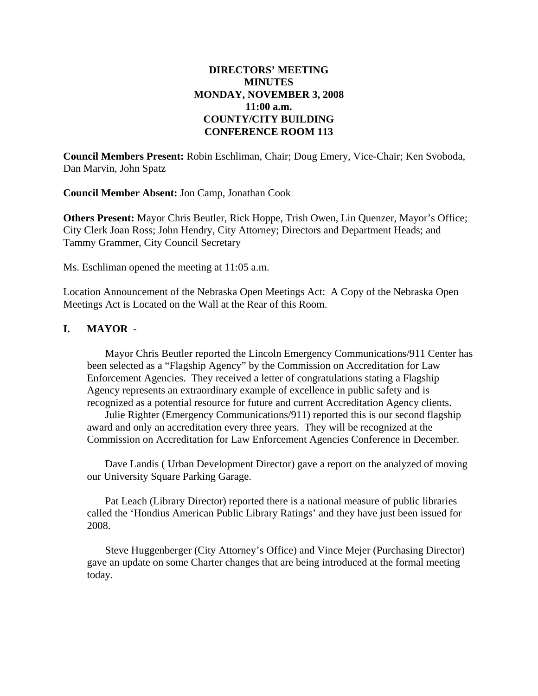# **DIRECTORS' MEETING MINUTES MONDAY, NOVEMBER 3, 2008 11:00 a.m. COUNTY/CITY BUILDING CONFERENCE ROOM 113**

**Council Members Present:** Robin Eschliman, Chair; Doug Emery, Vice-Chair; Ken Svoboda, Dan Marvin, John Spatz

**Council Member Absent:** Jon Camp, Jonathan Cook

**Others Present:** Mayor Chris Beutler, Rick Hoppe, Trish Owen, Lin Quenzer, Mayor's Office; City Clerk Joan Ross; John Hendry, City Attorney; Directors and Department Heads; and Tammy Grammer, City Council Secretary

Ms. Eschliman opened the meeting at 11:05 a.m.

Location Announcement of the Nebraska Open Meetings Act: A Copy of the Nebraska Open Meetings Act is Located on the Wall at the Rear of this Room.

## **I. MAYOR** -

Mayor Chris Beutler reported the Lincoln Emergency Communications/911 Center has been selected as a "Flagship Agency" by the Commission on Accreditation for Law Enforcement Agencies. They received a letter of congratulations stating a Flagship Agency represents an extraordinary example of excellence in public safety and is recognized as a potential resource for future and current Accreditation Agency clients.

Julie Righter (Emergency Communications/911) reported this is our second flagship award and only an accreditation every three years. They will be recognized at the Commission on Accreditation for Law Enforcement Agencies Conference in December.

 Dave Landis ( Urban Development Director) gave a report on the analyzed of moving our University Square Parking Garage.

Pat Leach (Library Director) reported there is a national measure of public libraries called the 'Hondius American Public Library Ratings' and they have just been issued for 2008.

Steve Huggenberger (City Attorney's Office) and Vince Mejer (Purchasing Director) gave an update on some Charter changes that are being introduced at the formal meeting today.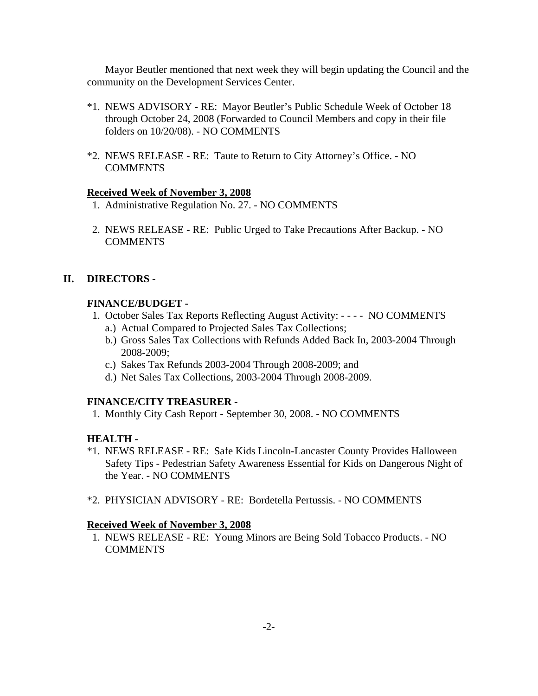Mayor Beutler mentioned that next week they will begin updating the Council and the community on the Development Services Center.

- \*1. NEWS ADVISORY RE: Mayor Beutler's Public Schedule Week of October 18 through October 24, 2008 (Forwarded to Council Members and copy in their file folders on 10/20/08). - NO COMMENTS
- \*2. NEWS RELEASE RE: Taute to Return to City Attorney's Office. NO COMMENTS

#### **Received Week of November 3, 2008**

- 1. Administrative Regulation No. 27. NO COMMENTS
- 2. NEWS RELEASE RE: Public Urged to Take Precautions After Backup. NO **COMMENTS**

#### **II. DIRECTORS -**

#### **FINANCE/BUDGET -**

- 1. October Sales Tax Reports Reflecting August Activity: - - NO COMMENTS
	- a.) Actual Compared to Projected Sales Tax Collections;
	- b.) Gross Sales Tax Collections with Refunds Added Back In, 2003-2004 Through 2008-2009;
	- c.) Sakes Tax Refunds 2003-2004 Through 2008-2009; and
	- d.) Net Sales Tax Collections, 2003-2004 Through 2008-2009.

#### **FINANCE/CITY TREASURER -**

1. Monthly City Cash Report - September 30, 2008. - NO COMMENTS

#### **HEALTH -**

- \*1. NEWS RELEASE RE: Safe Kids Lincoln-Lancaster County Provides Halloween Safety Tips - Pedestrian Safety Awareness Essential for Kids on Dangerous Night of the Year. - NO COMMENTS
- \*2. PHYSICIAN ADVISORY RE: Bordetella Pertussis. NO COMMENTS

#### **Received Week of November 3, 2008**

 1. NEWS RELEASE - RE: Young Minors are Being Sold Tobacco Products. - NO COMMENTS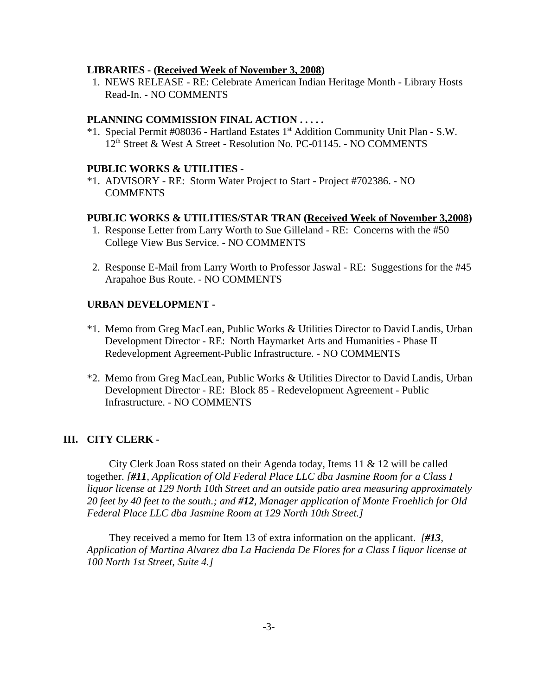#### **LIBRARIES - (Received Week of November 3, 2008)**

1. NEWS RELEASE - RE: Celebrate American Indian Heritage Month - Library Hosts Read-In. **-** NO COMMENTS

#### **PLANNING COMMISSION FINAL ACTION . . . . .**

\*1. Special Permit #08036 - Hartland Estates 1st Addition Community Unit Plan - S.W. 12<sup>th</sup> Street & West A Street - Resolution No. PC-01145. - NO COMMENTS

#### **PUBLIC WORKS & UTILITIES -**

\*1. ADVISORY - RE: Storm Water Project to Start - Project #702386. - NO COMMENTS

#### **PUBLIC WORKS & UTILITIES/STAR TRAN (Received Week of November 3,2008)**

- 1. Response Letter from Larry Worth to Sue Gilleland RE: Concerns with the #50 College View Bus Service. - NO COMMENTS
- 2. Response E-Mail from Larry Worth to Professor Jaswal RE: Suggestions for the #45 Arapahoe Bus Route. - NO COMMENTS

#### **URBAN DEVELOPMENT -**

- \*1. Memo from Greg MacLean, Public Works & Utilities Director to David Landis, Urban Development Director - RE: North Haymarket Arts and Humanities - Phase II Redevelopment Agreement-Public Infrastructure. - NO COMMENTS
- \*2. Memo from Greg MacLean, Public Works & Utilities Director to David Landis, Urban Development Director - RE: Block 85 - Redevelopment Agreement - Public Infrastructure. - NO COMMENTS

#### **III. CITY CLERK -**

City Clerk Joan Ross stated on their Agenda today, Items 11 & 12 will be called together. *[#11, Application of Old Federal Place LLC dba Jasmine Room for a Class I liquor license at 129 North 10th Street and an outside patio area measuring approximately 20 feet by 40 feet to the south.; and #12, Manager application of Monte Froehlich for Old Federal Place LLC dba Jasmine Room at 129 North 10th Street.]*

They received a memo for Item 13 of extra information on the applicant. *[#13, Application of Martina Alvarez dba La Hacienda De Flores for a Class I liquor license at 100 North 1st Street, Suite 4.]*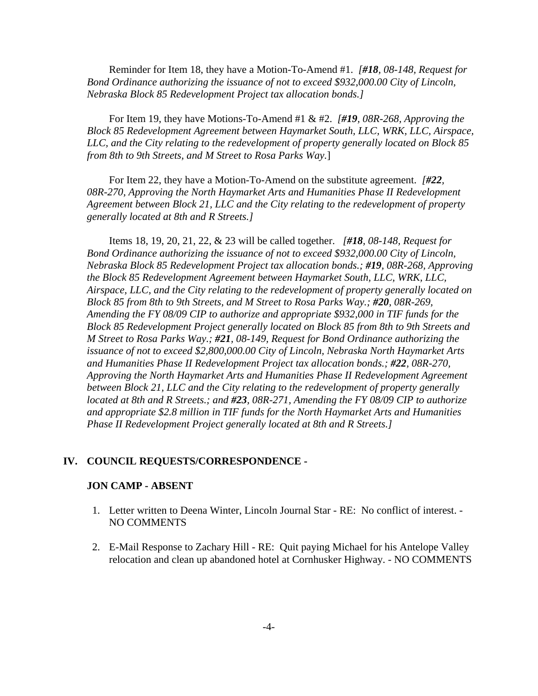Reminder for Item 18, they have a Motion-To-Amend #1. *[#18, 08-148, Request for Bond Ordinance authorizing the issuance of not to exceed \$932,000.00 City of Lincoln, Nebraska Block 85 Redevelopment Project tax allocation bonds.]* 

For Item 19, they have Motions-To-Amend #1 & #2. *[#19, 08R-268, Approving the Block 85 Redevelopment Agreement between Haymarket South, LLC, WRK, LLC, Airspace, LLC, and the City relating to the redevelopment of property generally located on Block 85 from 8th to 9th Streets, and M Street to Rosa Parks Way.*]

For Item 22, they have a Motion-To-Amend on the substitute agreement. *[#22, 08R-270, Approving the North Haymarket Arts and Humanities Phase II Redevelopment Agreement between Block 21, LLC and the City relating to the redevelopment of property generally located at 8th and R Streets.]* 

Items 18, 19, 20, 21, 22, & 23 will be called together. *[#18, 08-148, Request for Bond Ordinance authorizing the issuance of not to exceed \$932,000.00 City of Lincoln, Nebraska Block 85 Redevelopment Project tax allocation bonds.; #19, 08R-268, Approving the Block 85 Redevelopment Agreement between Haymarket South, LLC, WRK, LLC, Airspace, LLC, and the City relating to the redevelopment of property generally located on Block 85 from 8th to 9th Streets, and M Street to Rosa Parks Way.; #20, 08R-269, Amending the FY 08/09 CIP to authorize and appropriate \$932,000 in TIF funds for the Block 85 Redevelopment Project generally located on Block 85 from 8th to 9th Streets and M Street to Rosa Parks Way.; #21, 08-149, Request for Bond Ordinance authorizing the issuance of not to exceed \$2,800,000.00 City of Lincoln, Nebraska North Haymarket Arts and Humanities Phase II Redevelopment Project tax allocation bonds.; #22, 08R-270, Approving the North Haymarket Arts and Humanities Phase II Redevelopment Agreement between Block 21, LLC and the City relating to the redevelopment of property generally located at 8th and R Streets.; and #23, 08R-271, Amending the FY 08/09 CIP to authorize and appropriate \$2.8 million in TIF funds for the North Haymarket Arts and Humanities Phase II Redevelopment Project generally located at 8th and R Streets.]*

#### **IV. COUNCIL REQUESTS/CORRESPONDENCE -**

#### **JON CAMP - ABSENT**

- 1. Letter written to Deena Winter, Lincoln Journal Star RE: No conflict of interest. NO COMMENTS
- 2. E-Mail Response to Zachary Hill RE: Quit paying Michael for his Antelope Valley relocation and clean up abandoned hotel at Cornhusker Highway. - NO COMMENTS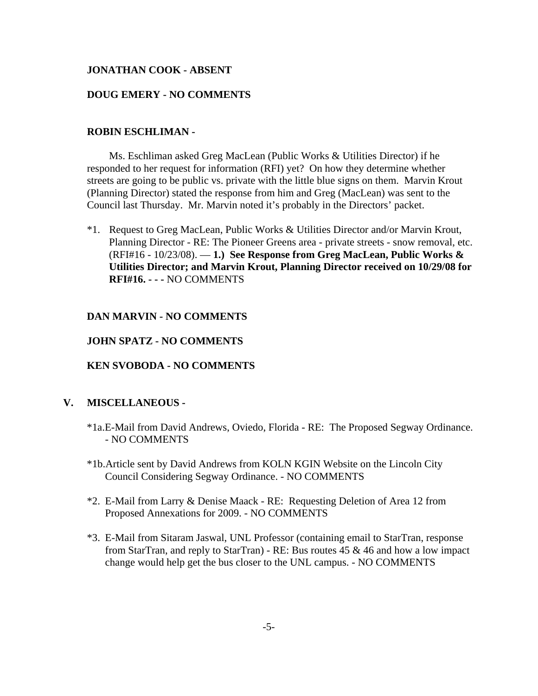#### **JONATHAN COOK - ABSENT**

#### **DOUG EMERY - NO COMMENTS**

## **ROBIN ESCHLIMAN -**

Ms. Eschliman asked Greg MacLean (Public Works & Utilities Director) if he responded to her request for information (RFI) yet? On how they determine whether streets are going to be public vs. private with the little blue signs on them. Marvin Krout (Planning Director) stated the response from him and Greg (MacLean) was sent to the Council last Thursday. Mr. Marvin noted it's probably in the Directors' packet.

\*1. Request to Greg MacLean, Public Works & Utilities Director and/or Marvin Krout, Planning Director - RE: The Pioneer Greens area - private streets - snow removal, etc. (RFI#16 - 10/23/08). — **1.) See Response from Greg MacLean, Public Works & Utilities Director; and Marvin Krout, Planning Director received on 10/29/08 for RFI#16. - - -** NO COMMENTS

#### **DAN MARVIN - NO COMMENTS**

#### **JOHN SPATZ - NO COMMENTS**

## **KEN SVOBODA - NO COMMENTS**

#### **V. MISCELLANEOUS -**

- \*1a.E-Mail from David Andrews, Oviedo, Florida RE: The Proposed Segway Ordinance. - NO COMMENTS
- \*1b.Article sent by David Andrews from KOLN KGIN Website on the Lincoln City Council Considering Segway Ordinance. - NO COMMENTS
- \*2. E-Mail from Larry & Denise Maack RE: Requesting Deletion of Area 12 from Proposed Annexations for 2009. - NO COMMENTS
- \*3. E-Mail from Sitaram Jaswal, UNL Professor (containing email to StarTran, response from StarTran, and reply to StarTran) - RE: Bus routes 45 & 46 and how a low impact change would help get the bus closer to the UNL campus. - NO COMMENTS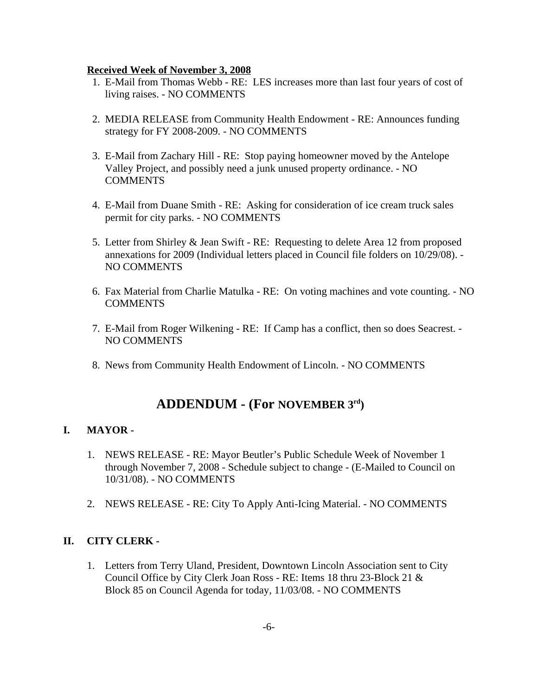#### **Received Week of November 3, 2008**

- 1. E-Mail from Thomas Webb RE: LES increases more than last four years of cost of living raises. - NO COMMENTS
- 2. MEDIA RELEASE from Community Health Endowment RE: Announces funding strategy for FY 2008-2009. - NO COMMENTS
- 3. E-Mail from Zachary Hill RE: Stop paying homeowner moved by the Antelope Valley Project, and possibly need a junk unused property ordinance. - NO **COMMENTS**
- 4. E-Mail from Duane Smith RE: Asking for consideration of ice cream truck sales permit for city parks. - NO COMMENTS
- 5. Letter from Shirley & Jean Swift RE: Requesting to delete Area 12 from proposed annexations for 2009 (Individual letters placed in Council file folders on 10/29/08). - NO COMMENTS
- 6. Fax Material from Charlie Matulka RE: On voting machines and vote counting. NO **COMMENTS**
- 7. E-Mail from Roger Wilkening RE: If Camp has a conflict, then so does Seacrest. NO COMMENTS
- 8. News from Community Health Endowment of Lincoln. NO COMMENTS

# **ADDENDUM - (For NOVEMBER 3rd)**

# **I. MAYOR -**

- 1. NEWS RELEASE RE: Mayor Beutler's Public Schedule Week of November 1 through November 7, 2008 - Schedule subject to change - (E-Mailed to Council on 10/31/08). - NO COMMENTS
- 2. NEWS RELEASE RE: City To Apply Anti-Icing Material. NO COMMENTS

# **II. CITY CLERK -**

1. Letters from Terry Uland, President, Downtown Lincoln Association sent to City Council Office by City Clerk Joan Ross - RE: Items 18 thru 23-Block 21 & Block 85 on Council Agenda for today, 11/03/08. - NO COMMENTS